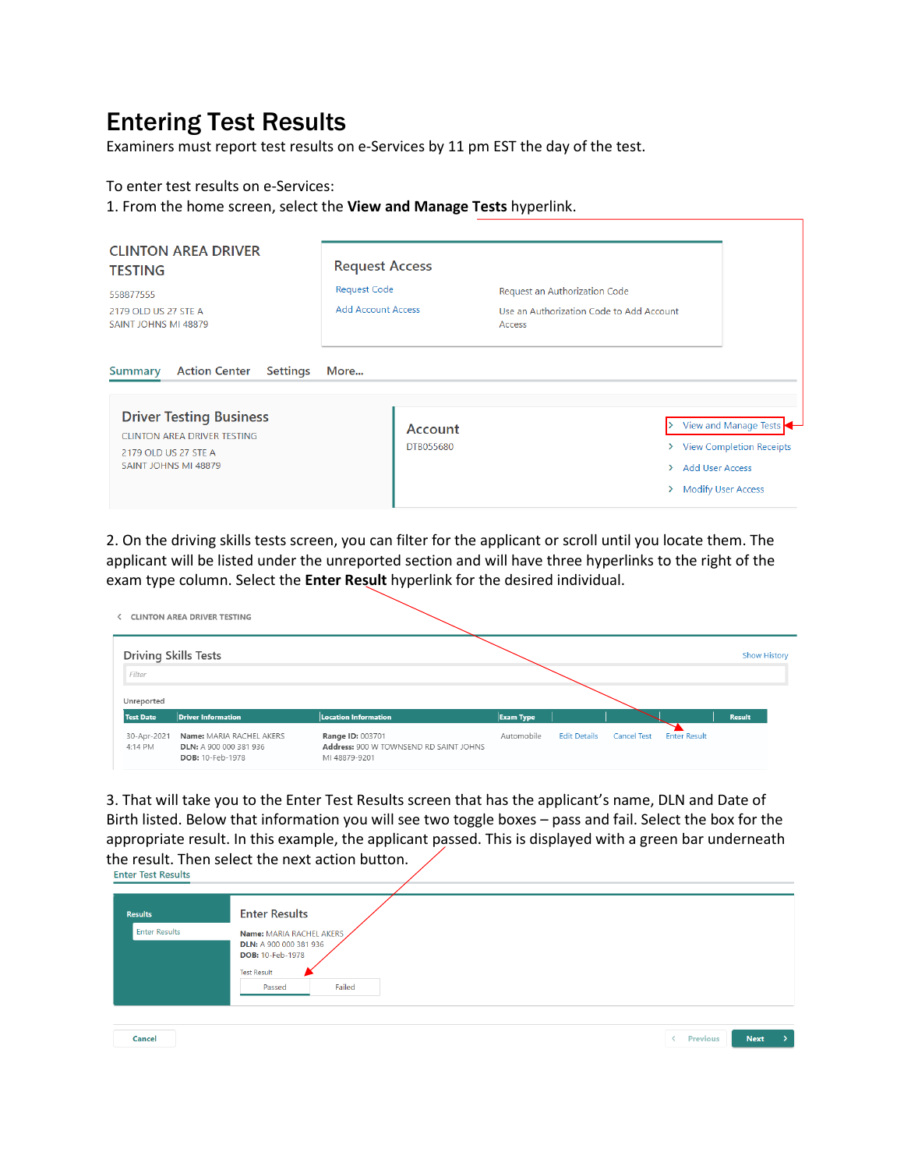## Entering Test Results

Examiners must report test results on e-Services by 11 pm EST the day of the test.

To enter test results on e-Services:

1. From the home screen, select the **View and Manage Tests** hyperlink.

| <b>CLINTON AREA DRIVER</b><br><b>TESTING</b><br>558877555<br>2179 OLD US 27 STE A<br>SAINT JOHNS MI 48879                                                                         | <b>Request Access</b><br><b>Request Code</b><br><b>Add Account Access</b> | Request an Authorization Code<br>Use an Authorization Code to Add Account<br>Access |                                                                                  |
|-----------------------------------------------------------------------------------------------------------------------------------------------------------------------------------|---------------------------------------------------------------------------|-------------------------------------------------------------------------------------|----------------------------------------------------------------------------------|
| <b>Action Center</b><br><b>Settings</b><br><b>Summary</b><br><b>Driver Testing Business</b><br><b>CLINTON AREA DRIVER TESTING</b><br>2179 OLD US 27 STE A<br>SAINT JOHNS MI 48879 | More<br>Account<br>DTB055680                                              | $\rightarrow$<br><b>Add User Access</b><br>><br>⋋                                   | View and Manage Tests<br>> View Completion Receipts<br><b>Modify User Access</b> |

2. On the driving skills tests screen, you can filter for the applicant or scroll until you locate them. The applicant will be listed under the unreported section and will have three hyperlinks to the right of the exam type column. Select the **Enter Result** hyperlink for the desired individual.

|                             | <b>CLINTON AREA DRIVER TESTING</b>                                     |                                                                                    |                  |                     |                    |                     |               |
|-----------------------------|------------------------------------------------------------------------|------------------------------------------------------------------------------------|------------------|---------------------|--------------------|---------------------|---------------|
| <b>Driving Skills Tests</b> |                                                                        |                                                                                    |                  |                     |                    |                     | Show History  |
| Filter                      |                                                                        |                                                                                    |                  |                     |                    |                     |               |
| Unreported                  |                                                                        |                                                                                    |                  |                     |                    |                     |               |
| <b>Test Date</b>            | <b>Driver Information</b>                                              | <b>Location Information</b>                                                        | <b>Exam Type</b> |                     |                    |                     | <b>Result</b> |
| 30-Apr-2021<br>4:14 PM      | Name: MARIA RACHEL AKERS<br>DLN: A 900 000 381 936<br>DOB: 10-Feb-1978 | <b>Range ID: 003701</b><br>Address: 900 W TOWNSEND RD SAINT JOHNS<br>MI 48879-9201 | Automobile       | <b>Edit Details</b> | <b>Cancel Test</b> | <b>Enter Result</b> |               |

3. That will take you to the Enter Test Results screen that has the applicant's name, DLN and Date of Birth listed. Below that information you will see two toggle boxes – pass and fail. Select the box for the appropriate result. In this example, the applicant passed. This is displayed with a green bar underneath the result. Then select the next action button.<br>Enter Test Results

| <b>Results</b><br><b>Enter Results</b> | <b>Enter Results</b><br>Name: MARIA RACHEL AKERS<br>DLN: A 900 000 381 936<br><b>DOB: 10-Feb-1978</b><br><b>Test Result</b> |  |
|----------------------------------------|-----------------------------------------------------------------------------------------------------------------------------|--|
| Cancel                                 | Failed<br>Passed<br><b>Next</b><br>Previous                                                                                 |  |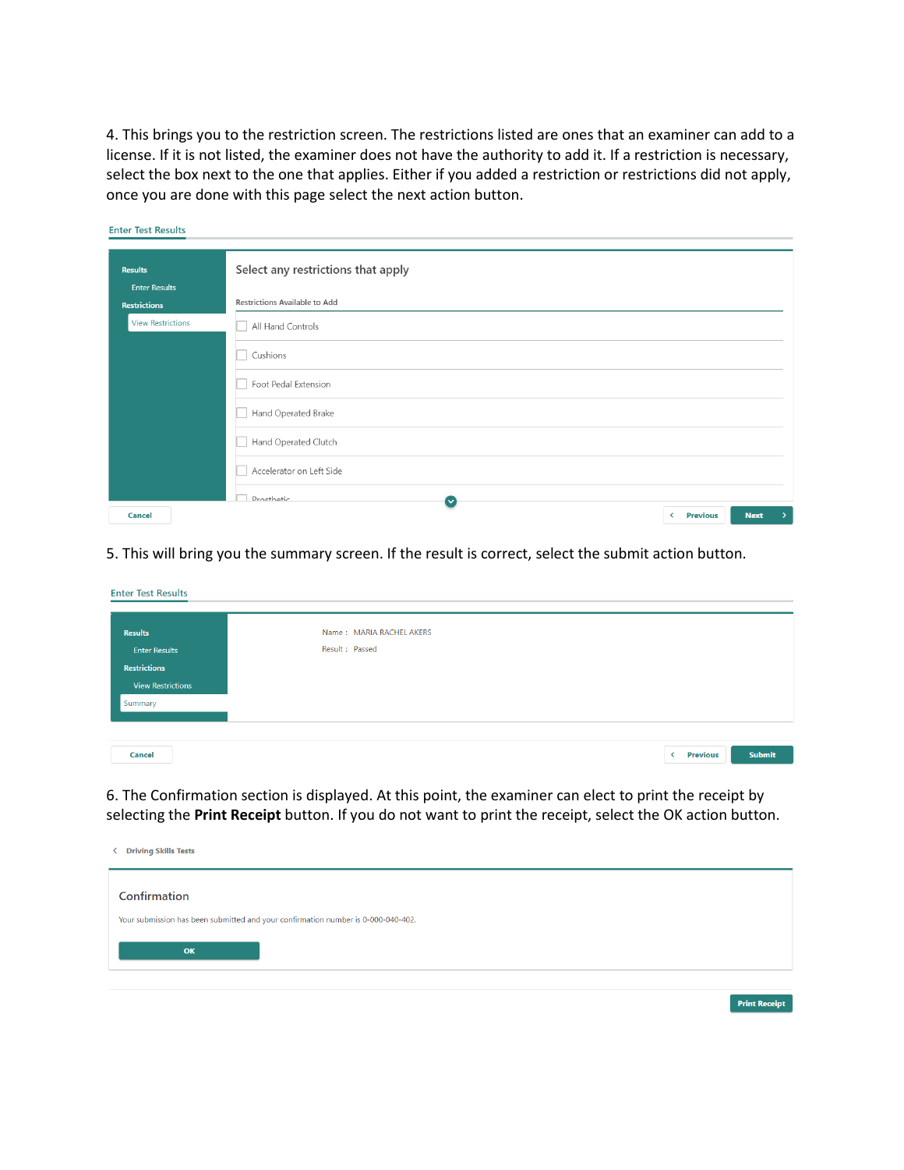4. This brings you to the restriction screen. The restrictions listed are ones that an examiner can add to a license. If it is not listed, the examiner does not have the authority to add it. If a restriction is necessary, select the box next to the one that applies. Either if you added a restriction or restrictions did not apply, once you are done with this page select the next action button.

| <b>Results</b>           | Select any restrictions that apply       |
|--------------------------|------------------------------------------|
| <b>Enter Results</b>     |                                          |
| <b>Restrictions</b>      | Restrictions Available to Add            |
| <b>View Restrictions</b> | All Hand Controls                        |
|                          | Cushions                                 |
|                          | Foot Pedal Extension                     |
|                          | Hand Operated Brake                      |
|                          | Hand Operated Clutch                     |
|                          | Accelerator on Left Side                 |
|                          | Prosthetic<br>$\checkmark$               |
| Cancel                   | <b>Previous</b><br><b>Next</b><br>≺<br>> |

5. This will bring you the summary screen. If the result is correct, select the submit action button.

| <b>Results</b>           | Name: MARIA RACHEL AKERS |
|--------------------------|--------------------------|
| <b>Enter Results</b>     | Result : Passed          |
| <b>Restrictions</b>      |                          |
| <b>View Restrictions</b> |                          |
| Summary                  |                          |

6. The Confirmation section is displayed. At this point, the examiner can elect to print the receipt by selecting the **Print Receipt** button. If you do not want to print the receipt, select the OK action button.

| <b>Driving Skills Tests</b><br>≺                                                        |  |
|-----------------------------------------------------------------------------------------|--|
| Confirmation                                                                            |  |
| Your submission has been submitted and your confirmation number is 0-000-040-402.<br>OK |  |
|                                                                                         |  |

**Print Receipt**